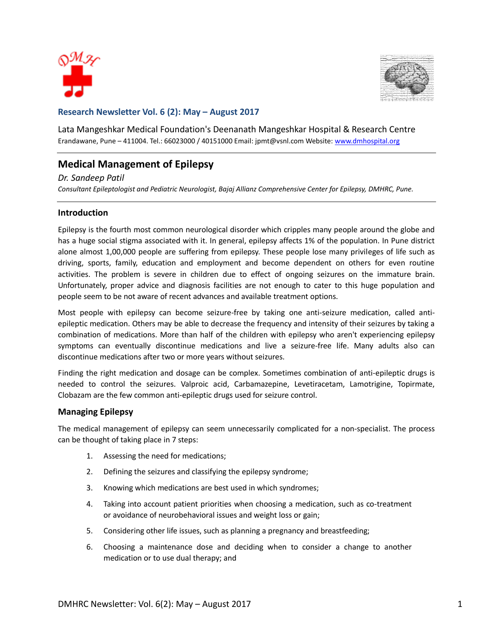



### **Research Newsletter Vol. 6 (2): May – August 2017**

Lata Mangeshkar Medical Foundation's Deenanath Mangeshkar Hospital & Research Centre Erandawane, Pune - 411004. Tel.: 66023000 / 40151000 Email: jpmt@vsnl.com Website: [www.dmhospital.org](http://www.dmhospital.org/)

# **Medical Management of Epilepsy**

#### *Dr. Sandeep Patil*

*Consultant Epileptologist and Pediatric Neurologist, Bajaj Allianz Comprehensive Center for Epilepsy, DMHRC, Pune.*

#### **Introduction**

Epilepsy is the fourth most common neurological disorder which cripples many people around the globe and has a huge social stigma associated with it. In general, epilepsy affects 1% of the population. In Pune district alone almost 1,00,000 people are suffering from epilepsy. These people lose many privileges of life such as driving, sports, family, education and employment and become dependent on others for even routine activities. The problem is severe in children due to effect of ongoing seizures on the immature brain. Unfortunately, proper advice and diagnosis facilities are not enough to cater to this huge population and people seem to be not aware of recent advances and available treatment options.

Most people with epilepsy can become seizure-free by taking one anti-seizure medication, called antiepileptic medication. Others may be able to decrease the frequency and intensity of their seizures by taking a combination of medications. More than half of the children with epilepsy who aren't experiencing epilepsy symptoms can eventually discontinue medications and live a seizure-free life. Many adults also can discontinue medications after two or more years without seizures.

Finding the right medication and dosage can be complex. Sometimes combination of anti-epileptic drugs is needed to control the seizures. Valproic acid, Carbamazepine, Levetiracetam, Lamotrigine, Topirmate, Clobazam are the few common anti-epileptic drugs used for seizure control.

#### **Managing Epilepsy**

The medical management of epilepsy can seem unnecessarily complicated for a non-specialist. The process can be thought of taking place in 7 steps:

- 1. Assessing the need for medications;
- 2. Defining the seizures and classifying the epilepsy syndrome;
- 3. Knowing which medications are best used in which syndromes;
- 4. Taking into account patient priorities when choosing a medication, such as co-treatment or avoidance of neurobehavioral issues and weight loss or gain;
- 5. Considering other life issues, such as planning a pregnancy and breastfeeding;
- 6. Choosing a maintenance dose and deciding when to consider a change to another medication or to use dual therapy; and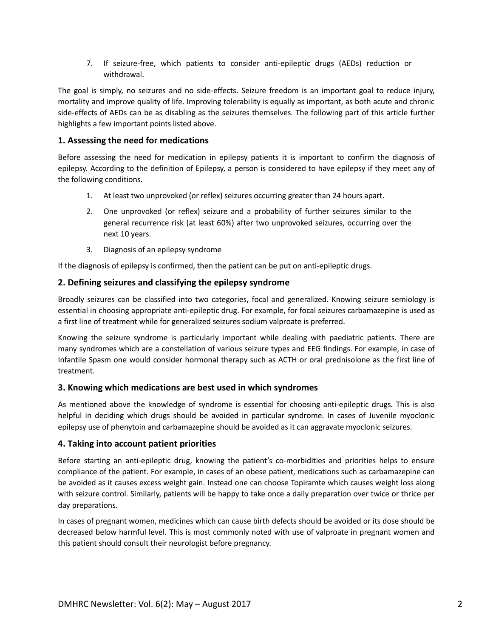7. If seizure-free, which patients to consider anti-epileptic drugs (AEDs) reduction or withdrawal.

The goal is simply, no seizures and no side-effects. Seizure freedom is an important goal to reduce injury, mortality and improve quality of life. Improving tolerability is equally as important, as both acute and chronic side-effects of AEDs can be as disabling as the seizures themselves. The following part of this article further highlights a few important points listed above.

# **1. Assessing the need for medications**

Before assessing the need for medication in epilepsy patients it is important to confirm the diagnosis of epilepsy. According to the definition of Epilepsy, a person is considered to have epilepsy if they meet any of the following conditions.

- 1. At least two unprovoked (or reflex) seizures occurring greater than 24 hours apart.
- 2. One unprovoked (or reflex) seizure and a probability of further seizures similar to the general recurrence risk (at least 60%) after two unprovoked seizures, occurring over the next 10 years.
- 3. Diagnosis of an epilepsy syndrome

If the diagnosis of epilepsy is confirmed, then the patient can be put on anti-epileptic drugs.

## **2. Defining seizures and classifying the epilepsy syndrome**

Broadly seizures can be classified into two categories, focal and generalized. Knowing seizure semiology is essential in choosing appropriate anti-epileptic drug. For example, for focal seizures carbamazepine is used as a first line of treatment while for generalized seizures sodium valproate is preferred.

Knowing the seizure syndrome is particularly important while dealing with paediatric patients. There are many syndromes which are a constellation of various seizure types and EEG findings. For example, in case of Infantile Spasm one would consider hormonal therapy such as ACTH or oral prednisolone as the first line of treatment.

## **3. Knowing which medications are best used in which syndromes**

As mentioned above the knowledge of syndrome is essential for choosing anti-epileptic drugs. This is also helpful in deciding which drugs should be avoided in particular syndrome. In cases of Juvenile myoclonic epilepsy use of phenytoin and carbamazepine should be avoided as it can aggravate myoclonic seizures.

## **4. Taking into account patient priorities**

Before starting an anti-epileptic drug, knowing the patient's co-morbidities and priorities helps to ensure compliance of the patient. For example, in cases of an obese patient, medications such as carbamazepine can be avoided as it causes excess weight gain. Instead one can choose Topiramte which causes weight loss along with seizure control. Similarly, patients will be happy to take once a daily preparation over twice or thrice per day preparations.

In cases of pregnant women, medicines which can cause birth defects should be avoided or its dose should be decreased below harmful level. This is most commonly noted with use of valproate in pregnant women and this patient should consult their neurologist before pregnancy.